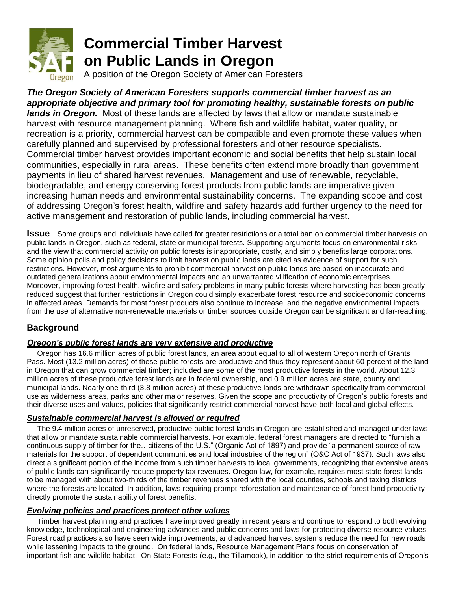

# **Commercial Timber Harvest on Public Lands in Oregon**

A position of the Oregon Society of American Foresters

*The Oregon Society of American Foresters supports commercial timber harvest as an appropriate objective and primary tool for promoting healthy, sustainable forests on public lands in Oregon.* Most of these lands are affected by laws that allow or mandate sustainable harvest with resource management planning. Where fish and wildlife habitat, water quality, or recreation is a priority, commercial harvest can be compatible and even promote these values when carefully planned and supervised by professional foresters and other resource specialists. Commercial timber harvest provides important economic and social benefits that help sustain local communities, especially in rural areas. These benefits often extend more broadly than government payments in lieu of shared harvest revenues. Management and use of renewable, recyclable, biodegradable, and energy conserving forest products from public lands are imperative given increasing human needs and environmental sustainability concerns. The expanding scope and cost of addressing Oregon's forest health, wildfire and safety hazards add further urgency to the need for active management and restoration of public lands, including commercial harvest.

**Issue** Some groups and individuals have called for greater restrictions or a total ban on commercial timber harvests on public lands in Oregon, such as federal, state or municipal forests. Supporting arguments focus on environmental risks and the view that commercial activity on public forests is inappropriate, costly, and simply benefits large corporations. Some opinion polls and policy decisions to limit harvest on public lands are cited as evidence of support for such restrictions. However, most arguments to prohibit commercial harvest on public lands are based on inaccurate and outdated generalizations about environmental impacts and an unwarranted vilification of economic enterprises. Moreover, improving forest health, wildfire and safety problems in many public forests where harvesting has been greatly reduced suggest that further restrictions in Oregon could simply exacerbate forest resource and socioeconomic concerns in affected areas. Demands for most forest products also continue to increase, and the negative environmental impacts from the use of alternative non-renewable materials or timber sources outside Oregon can be significant and far-reaching.

## **Background**

## *Oregon's public forest lands are very extensive and productive*

 Oregon has 16.6 million acres of public forest lands, an area about equal to all of western Oregon north of Grants Pass. Most (13.2 million acres) of these public forests are productive and thus they represent about 60 percent of the land in Oregon that can grow commercial timber; included are some of the most productive forests in the world. About 12.3 million acres of these productive forest lands are in federal ownership, and 0.9 million acres are state, county and municipal lands. Nearly one-third (3.8 million acres) of these productive lands are withdrawn specifically from commercial use as wilderness areas, parks and other major reserves. Given the scope and productivity of Oregon's public forests and their diverse uses and values, policies that significantly restrict commercial harvest have both local and global effects.

## *Sustainable commercial harvest is allowed or required*

 The 9.4 million acres of unreserved, productive public forest lands in Oregon are established and managed under laws that allow or mandate sustainable commercial harvests. For example, federal forest managers are directed to "furnish a continuous supply of timber for the…citizens of the U.S." (Organic Act of 1897) and provide "a permanent source of raw materials for the support of dependent communities and local industries of the region" (O&C Act of 1937). Such laws also direct a significant portion of the income from such timber harvests to local governments, recognizing that extensive areas of public lands can significantly reduce property tax revenues. Oregon law, for example, requires most state forest lands to be managed with about two-thirds of the timber revenues shared with the local counties, schools and taxing districts where the forests are located. In addition, laws requiring prompt reforestation and maintenance of forest land productivity directly promote the sustainability of forest benefits.

## *Evolving policies and practices protect other values*

 Timber harvest planning and practices have improved greatly in recent years and continue to respond to both evolving knowledge, technological and engineering advances and public concerns and laws for protecting diverse resource values. Forest road practices also have seen wide improvements, and advanced harvest systems reduce the need for new roads while lessening impacts to the ground. On federal lands, Resource Management Plans focus on conservation of important fish and wildlife habitat. On State Forests (e.g., the Tillamook), in addition to the strict requirements of Oregon's